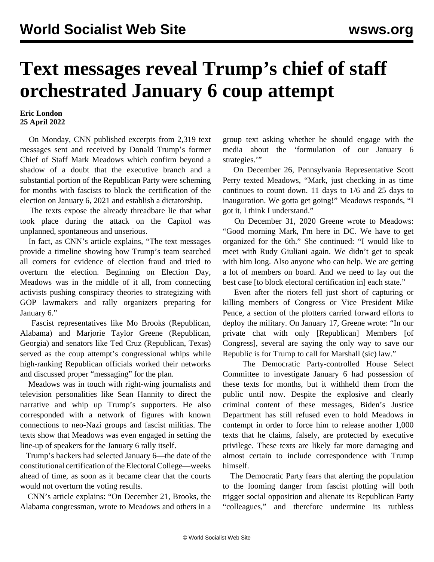## **Text messages reveal Trump's chief of staff orchestrated January 6 coup attempt**

## **Eric London 25 April 2022**

 On Monday, CNN published excerpts from 2,319 text messages sent and received by Donald Trump's former Chief of Staff Mark Meadows which confirm beyond a shadow of a doubt that the executive branch and a substantial portion of the Republican Party were scheming for months with fascists to block the certification of the election on January 6, 2021 and establish a dictatorship.

 The texts expose the already threadbare lie that what took place during the attack on the Capitol was unplanned, spontaneous and unserious.

 In fact, as CNN's article explains, "The text messages provide a timeline showing how Trump's team searched all corners for evidence of election fraud and tried to overturn the election. Beginning on Election Day, Meadows was in the middle of it all, from connecting activists pushing conspiracy theories to strategizing with GOP lawmakers and rally organizers preparing for January 6."

 Fascist representatives like Mo Brooks (Republican, Alabama) and Marjorie Taylor Greene (Republican, Georgia) and senators like Ted Cruz (Republican, Texas) served as the coup attempt's congressional whips while high-ranking Republican officials worked their networks and discussed proper "messaging" for the plan.

 Meadows was in touch with right-wing journalists and television personalities like Sean Hannity to direct the narrative and whip up Trump's supporters. He also corresponded with a network of figures with known connections to neo-Nazi groups and fascist militias. The texts show that Meadows was even engaged in setting the line-up of speakers for the January 6 rally itself.

 Trump's backers had selected January 6—the date of the constitutional certification of the Electoral College—weeks ahead of time, as soon as it became clear that the courts would not overturn the voting results.

 CNN's article explains: "On December 21, Brooks, the Alabama congressman, wrote to Meadows and others in a group text asking whether he should engage with the media about the 'formulation of our January 6 strategies."

 On December 26, Pennsylvania Representative Scott Perry texted Meadows, "Mark, just checking in as time continues to count down. 11 days to 1/6 and 25 days to inauguration. We gotta get going!" Meadows responds, "I got it, I think I understand."

 On December 31, 2020 Greene wrote to Meadows: "Good morning Mark, I'm here in DC. We have to get organized for the 6th." She continued: "I would like to meet with Rudy Giuliani again. We didn't get to speak with him long. Also anyone who can help. We are getting a lot of members on board. And we need to lay out the best case [to block electoral certification in] each state."

 Even after the rioters fell just short of capturing or killing members of Congress or Vice President Mike Pence, a section of the plotters carried forward efforts to deploy the military. On January 17, Greene wrote: "In our private chat with only [Republican] Members [of Congress], several are saying the only way to save our Republic is for Trump to call for Marshall (sic) law."

 The Democratic Party-controlled House Select Committee to investigate January 6 had possession of these texts for months, but it withheld them from the public until now. Despite the explosive and clearly criminal content of these messages, Biden's Justice Department has still refused even to hold Meadows in contempt in order to force him to release another 1,000 texts that he claims, falsely, are protected by executive privilege. These texts are likely far more damaging and almost certain to include correspondence with Trump himself.

 The Democratic Party fears that alerting the population to the looming danger from fascist plotting will both trigger social opposition and alienate its Republican Party "colleagues," and therefore undermine its ruthless